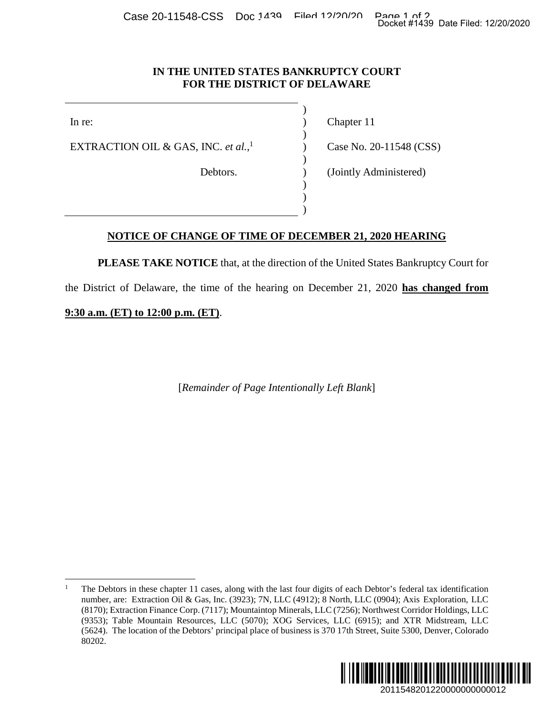## **IN THE UNITED STATES BANKRUPTCY COURT FOR THE DISTRICT OF DELAWARE**

)

)

)

) ) )

EXTRACTION OIL & GAS, INC. *et al.*, 1

In re: (a) Chapter 11

) Case No. 20-11548 (CSS)

Debtors. (Jointly Administered)

## **NOTICE OF CHANGE OF TIME OF DECEMBER 21, 2020 HEARING**

**PLEASE TAKE NOTICE** that, at the direction of the United States Bankruptcy Court for

the District of Delaware, the time of the hearing on December 21, 2020 **has changed from** 

**9:30 a.m. (ET) to 12:00 p.m. (ET)**.

[*Remainder of Page Intentionally Left Blank*]

<sup>1</sup> The Debtors in these chapter 11 cases, along with the last four digits of each Debtor's federal tax identification number, are: Extraction Oil & Gas, Inc. (3923); 7N, LLC (4912); 8 North, LLC (0904); Axis Exploration, LLC (8170); Extraction Finance Corp. (7117); Mountaintop Minerals, LLC (7256); Northwest Corridor Holdings, LLC (9353); Table Mountain Resources, LLC (5070); XOG Services, LLC (6915); and XTR Midstream, LLC (5624). The location of the Debtors' principal place of business is 370 17th Street, Suite 5300, Denver, Colorado 80202. 2011548201220000000000012 Docket #1439 Date Filed: 12/20/2020